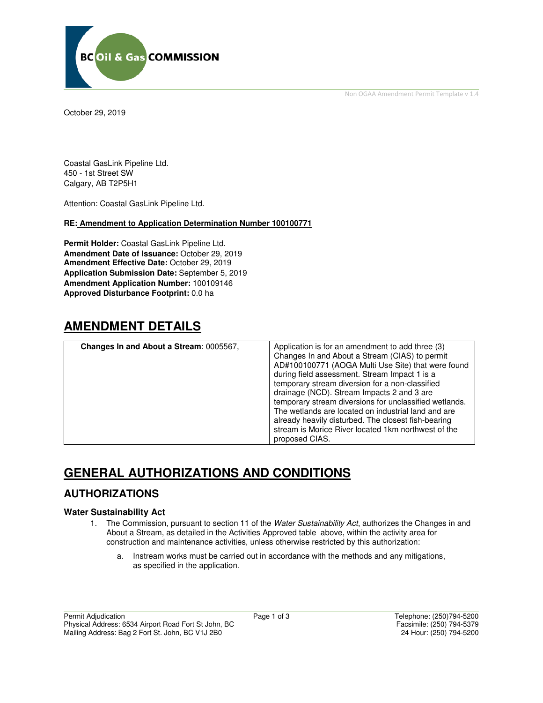

Non OGAA Amendment Permit Template v 1.4

October 29, 2019

Coastal GasLink Pipeline Ltd. 450 - 1st Street SW Calgary, AB T2P5H1

Attention: Coastal GasLink Pipeline Ltd.

#### **RE: Amendment to Application Determination Number 100100771**

**Permit Holder:** Coastal GasLink Pipeline Ltd. **Amendment Date of Issuance:** October 29, 2019 **Amendment Effective Date:** October 29, 2019 **Application Submission Date:** September 5, 2019 **Amendment Application Number:** 100109146 **Approved Disturbance Footprint:** 0.0 ha

## **AMENDMENT DETAILS**

| Changes In and About a Stream: 0005567, | Application is for an amendment to add three (3)<br>Changes In and About a Stream (CIAS) to permit<br>AD#100100771 (AOGA Multi Use Site) that were found<br>during field assessment. Stream Impact 1 is a<br>temporary stream diversion for a non-classified<br>drainage (NCD). Stream Impacts 2 and 3 are<br>temporary stream diversions for unclassified wetlands.<br>The wetlands are located on industrial land and are<br>already heavily disturbed. The closest fish-bearing<br>stream is Morice River located 1km northwest of the<br>proposed CIAS. |
|-----------------------------------------|-------------------------------------------------------------------------------------------------------------------------------------------------------------------------------------------------------------------------------------------------------------------------------------------------------------------------------------------------------------------------------------------------------------------------------------------------------------------------------------------------------------------------------------------------------------|

## **GENERAL AUTHORIZATIONS AND CONDITIONS**

### **AUTHORIZATIONS**

#### **Water Sustainability Act**

- 1. The Commission, pursuant to section 11 of the Water Sustainability Act, authorizes the Changes in and About a Stream, as detailed in the Activities Approved table above, within the activity area for construction and maintenance activities, unless otherwise restricted by this authorization:
	- a. Instream works must be carried out in accordance with the methods and any mitigations, as specified in the application.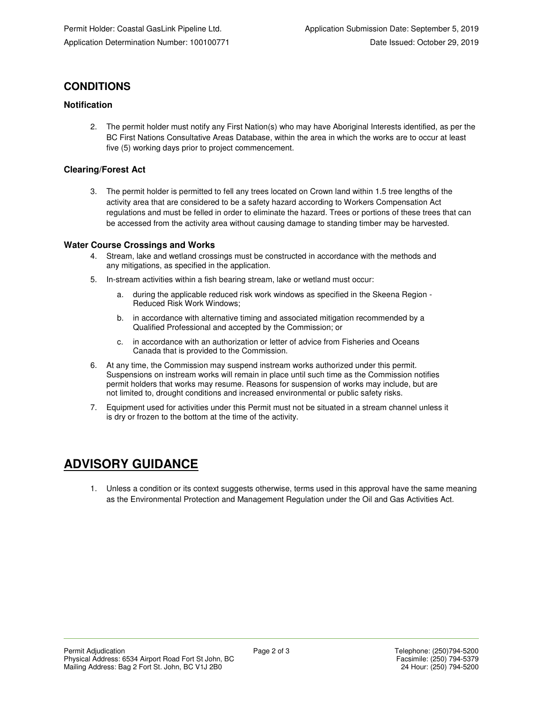## **CONDITIONS**

### **Notification**

2. The permit holder must notify any First Nation(s) who may have Aboriginal Interests identified, as per the BC First Nations Consultative Areas Database, within the area in which the works are to occur at least five (5) working days prior to project commencement.

### **Clearing/Forest Act**

3. The permit holder is permitted to fell any trees located on Crown land within 1.5 tree lengths of the activity area that are considered to be a safety hazard according to Workers Compensation Act regulations and must be felled in order to eliminate the hazard. Trees or portions of these trees that can be accessed from the activity area without causing damage to standing timber may be harvested.

### **Water Course Crossings and Works**

- 4. Stream, lake and wetland crossings must be constructed in accordance with the methods and any mitigations, as specified in the application.
- 5. In-stream activities within a fish bearing stream, lake or wetland must occur:
	- a. during the applicable reduced risk work windows as specified in the Skeena Region Reduced Risk Work Windows;
	- b. in accordance with alternative timing and associated mitigation recommended by a Qualified Professional and accepted by the Commission; or
	- c. in accordance with an authorization or letter of advice from Fisheries and Oceans Canada that is provided to the Commission.
- 6. At any time, the Commission may suspend instream works authorized under this permit. Suspensions on instream works will remain in place until such time as the Commission notifies permit holders that works may resume. Reasons for suspension of works may include, but are not limited to, drought conditions and increased environmental or public safety risks.
- 7. Equipment used for activities under this Permit must not be situated in a stream channel unless it is dry or frozen to the bottom at the time of the activity.

# **ADVISORY GUIDANCE**

1. Unless a condition or its context suggests otherwise, terms used in this approval have the same meaning as the Environmental Protection and Management Regulation under the Oil and Gas Activities Act.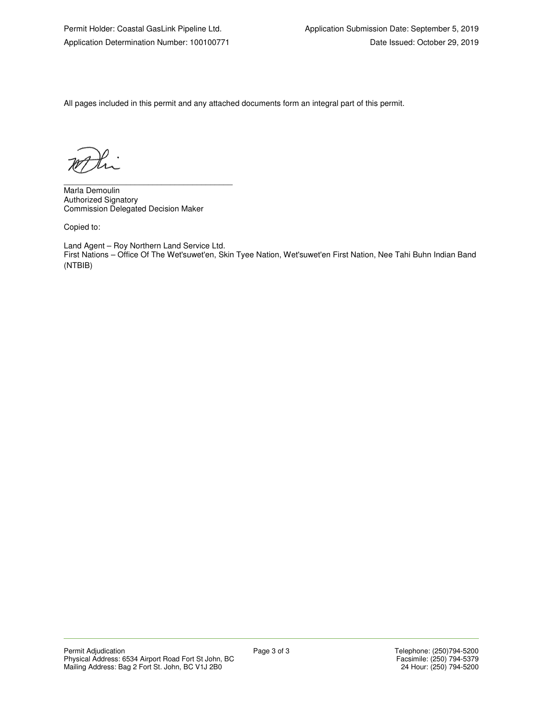All pages included in this permit and any attached documents form an integral part of this permit.

\_\_\_\_\_\_\_\_\_\_\_\_\_\_\_\_\_\_\_\_\_\_\_\_\_\_\_\_\_\_\_\_\_\_\_\_\_\_ Marla Demoulin Authorized Signatory Commission Delegated Decision Maker

Copied to:

Land Agent – Roy Northern Land Service Ltd. First Nations – Office Of The Wet'suwet'en, Skin Tyee Nation, Wet'suwet'en First Nation, Nee Tahi Buhn Indian Band (NTBIB)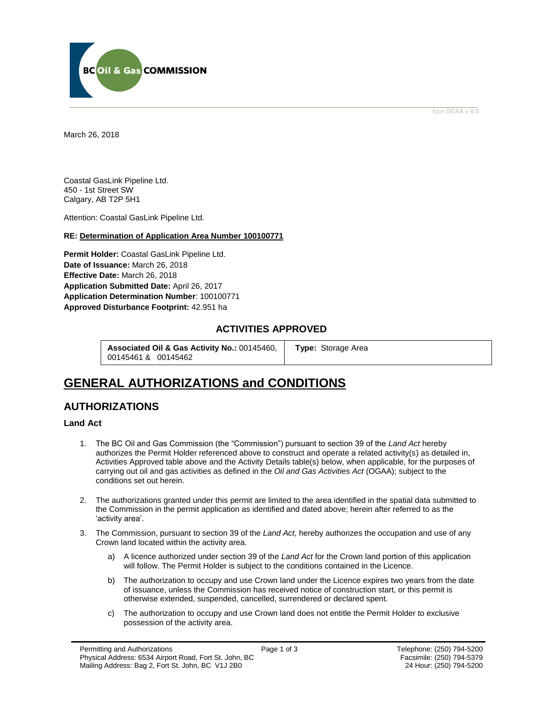

Non OGAA v 4.0

<span id="page-3-0"></span>March 26, 2018

Coastal GasLink Pipeline Ltd. 450 - 1st Street SW Calgary, AB T2P 5H1

Attention: Coastal GasLink Pipeline Ltd.

#### **RE: Determination of Application Area Number 100100771**

**Permit Holder:** Coastal GasLink Pipeline Ltd. **Date of Issuance:** March 26, 2018 **Effective Date:** March 26, 2018 **Application Submitted Date:** April 26, 2017 **Application Determination Number**: 100100771 **[Approved Disturbance Footprint:](#page-3-0)** 42.951 ha

### **ACTIVITIES APPROVED**

**Associated Oil & Gas Activity No.:** 00145460, 00145461 & 00145462

**[Type:](https://bi.bcogc.ca/Application%20Processing/Interactive%20Reports/(BIL-041)%20AMS%20Decision%20Summary.aspx)** Storage Area

## **GENERAL AUTHORIZATIONS and CONDITIONS**

### **AUTHORIZATIONS**

### **Land Act**

- 1. The BC Oil and Gas Commission (the "Commission") pursuant to section 39 of the *Land Act* hereby authorizes the Permit Holder referenced above to construct and operate a related activity(s) as detailed in, Activities Approved table above and the Activity Details table(s) below, when applicable, for the purposes of carrying out oil and gas activities as defined in the *Oil and Gas Activities Act* (OGAA); subject to the conditions set out herein.
- 2. The authorizations granted under this permit are limited to the area identified in the spatial data submitted to the Commission in the permit application as identified and dated above; herein after referred to as the 'activity area'.
- 3. The Commission, pursuant to section 39 of the *Land Act*, hereby [authorizes](#page-3-0) the occupation and use of any Crown land located within the activity area.
	- a) A licenc[e authorized](#page-3-0) under section 39 of the *Land Act* for the Crown land portion of this application will follow. The Permit Holder is subject to the conditions contained in the Licence.
	- b) Th[e authorization](#page-3-0) to occupy and use Crown land under the Licence expires two years from the date of issuance, unless the Commission has received notice of construction start, or this permit is otherwise extended, suspended, cancelled, surrendered or declared spent.
	- c) Th[e authorization](#page-3-0) to occupy and use Crown land does not entitle the Permit Holder to exclusive possession of the activity area.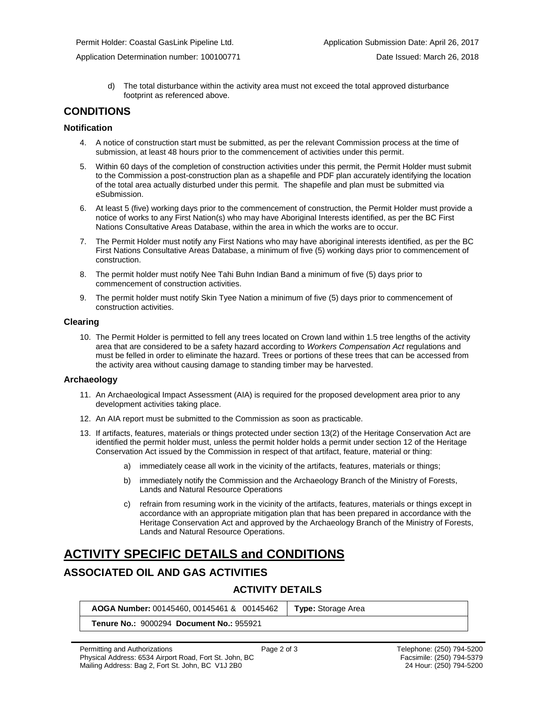Permit Holder: Coastal GasLink Pipeline Ltd. Application Submission Date: April 26, 2017

d) The total disturbance within the activity area must not exceed the total approved disturbance footprint as referenced above.

### **CONDITIONS**

#### **Notification**

- 4. A notice of construction start must be submitted, as per the relevant Commission process at the time of submission, at least 48 hours prior to the commencement of activities under this permit.
- 5. Within 60 days of the completion of construction activities under this permit, the Permit Holder must submit to the Commission a post-construction plan as a shapefile and PDF plan accurately identifying the location of the total area actually disturbed under this permit. The shapefile and plan must be submitted via eSubmission.
- 6. At least 5 (five) working days prior to the commencement of construction, the Permit Holder must provide a notice of works to any First Nation(s) who may have Aboriginal Interests identified, as per the BC First Nations Consultative Areas Database, within the area in which the works are to occur.
- 7. The Permit Holder must notify any First Nations who may have aboriginal interests identified, as per the BC First Nations Consultative Areas Database, a minimum of five (5) working days prior to commencement of construction.
- 8. The permit holder must notify Nee Tahi Buhn Indian Band a minimum of five (5) days prior to commencement of construction activities.
- 9. The permit holder must notify Skin Tyee Nation a minimum of five (5) days prior to commencement of construction activities.

#### **Clearing**

10. The Permit Holder is permitted to fell any trees located on Crown land within 1.5 tree lengths of the activity area that are considered to be a safety hazard according to *Workers Compensation Act* regulations and must be felled in order to eliminate the hazard. Trees or portions of these trees that can be accessed from the activity area without causing damage to standing timber may be harvested.

### **Archaeology**

- 11. An Archaeological Impact Assessment (AIA) is required for the proposed development area prior to any development activities taking place.
- 12. An AIA report must be submitted to the Commission as soon as practicable.
- 13. If artifacts, features, materials or things protected under section 13(2) of the Heritage Conservation Act are identified the permit holder must, unless the permit holder holds a permit under section 12 of the Heritage Conservation Act issued by the Commission in respect of that artifact, feature, material or thing:
	- a) immediately cease all work in the vicinity of the artifacts, features, materials or things;
	- b) immediately notify the Commission and the Archaeology Branch of the Ministry of Forests, Lands and Natural Resource Operations
	- c) refrain from resuming work in the vicinity of the artifacts, features, materials or things except in accordance with an appropriate mitigation plan that has been prepared in accordance with the Heritage Conservation Act and approved by the Archaeology Branch of the Ministry of Forests, Lands and Natural Resource Operations.

# **ACTIVITY SPECIFIC DETAILS and CONDITIONS**

## **ASSOCIATED OIL AND GAS ACTIVITIES**

## **ACTIVITY DETAILS**

**[AOGA Number:](https://bi.bcogc.ca/Application%20Processing/Interactive%20Reports/(BIL-041)%20AMS%20Decision%20Summary.aspx)** 00145460, 00145461 & 00145462 **[Type:](https://bi.bcogc.ca/Application%20Processing/Interactive%20Reports/(BIL-041)%20AMS%20Decision%20Summary.aspx)** Storage Area

**Tenure No.:** 9000294 **Document No.:** 955921